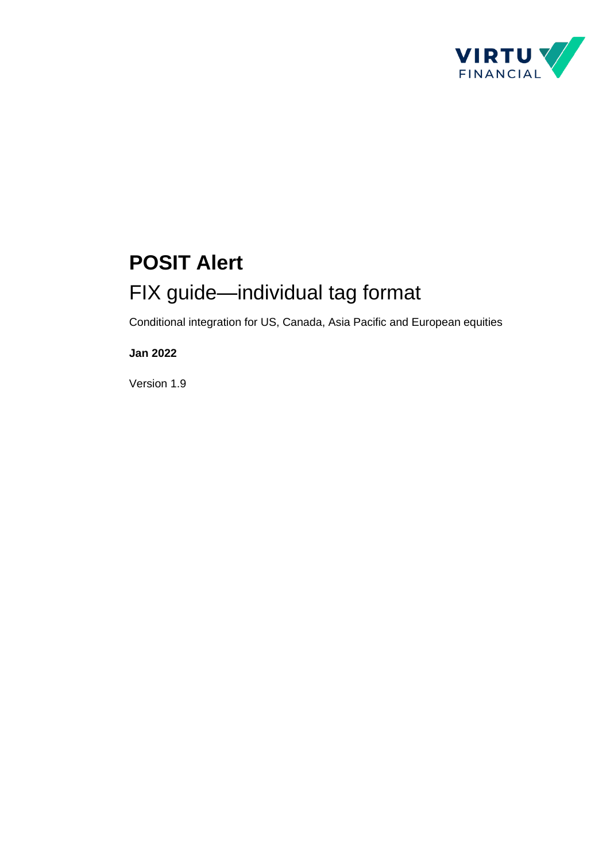

# **POSIT Alert** FIX guide—individual tag format

Conditional integration for US, Canada, Asia Pacific and European equities

#### **Jan 2022**

Version 1.9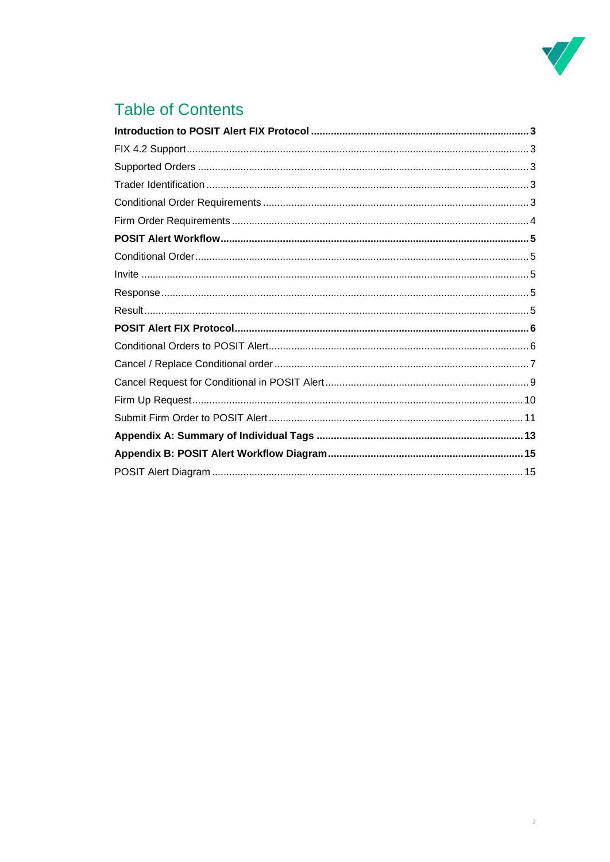

### **Table of Contents**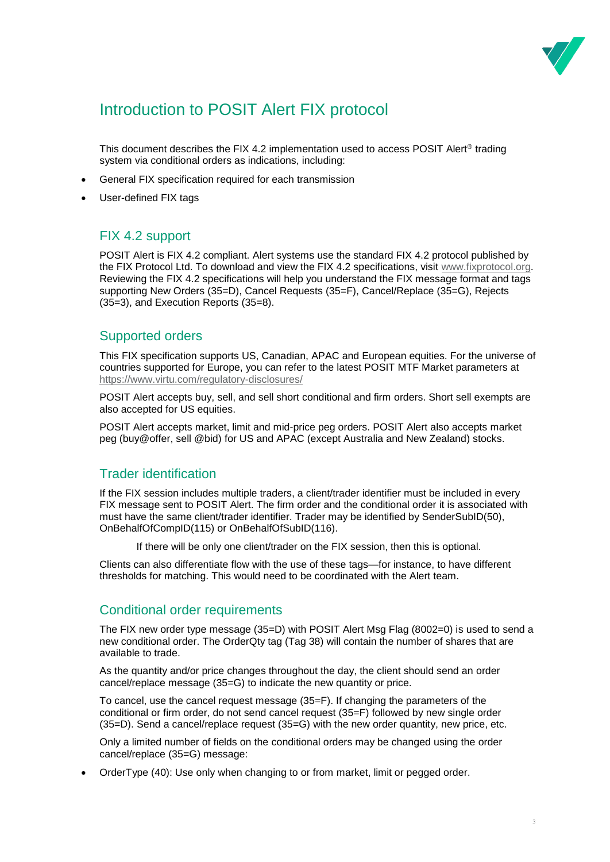

### <span id="page-2-0"></span>Introduction to POSIT Alert FIX protocol

This document describes the FIX 4.2 implementation used to access POSIT Alert® trading system via conditional orders as indications, including:

- General FIX specification required for each transmission
- User-defined FIX tags

### <span id="page-2-1"></span>FIX 4.2 support

POSIT Alert is FIX 4.2 compliant. Alert systems use the standard FIX 4.2 protocol published by the FIX Protocol Ltd. To download and view the FIX 4.2 specifications, visit [www.fixprotocol.org.](http://www.fixprotocol.org/) Reviewing the FIX 4.2 specifications will help you understand the FIX message format and tags supporting New Orders (35=D), Cancel Requests (35=F), Cancel/Replace (35=G), Rejects (35=3), and Execution Reports (35=8).

### <span id="page-2-2"></span>Supported orders

This FIX specification supports US, Canadian, APAC and European equities. For the universe of countries supported for Europe, you can refer to the latest POSIT MTF Market parameters at <https://www.virtu.com/regulatory-disclosures/>

POSIT Alert accepts buy, sell, and sell short conditional and firm orders. Short sell exempts are also accepted for US equities.

<span id="page-2-3"></span>POSIT Alert accepts market, limit and mid-price peg orders. POSIT Alert also accepts market peg (buy@offer, sell @bid) for US and APAC (except Australia and New Zealand) stocks.

### Trader identification

If the FIX session includes multiple traders, a client/trader identifier must be included in every FIX message sent to POSIT Alert. The firm order and the conditional order it is associated with must have the same client/trader identifier. Trader may be identified by SenderSubID(50), OnBehalfOfCompID(115) or OnBehalfOfSubID(116).

If there will be only one client/trader on the FIX session, then this is optional.

Clients can also differentiate flow with the use of these tags—for instance, to have different thresholds for matching. This would need to be coordinated with the Alert team.

### <span id="page-2-4"></span>Conditional order requirements

The FIX new order type message (35=D) with POSIT Alert Msg Flag (8002=0) is used to send a new conditional order. The OrderQty tag (Tag 38) will contain the number of shares that are available to trade.

As the quantity and/or price changes throughout the day, the client should send an order cancel/replace message (35=G) to indicate the new quantity or price.

To cancel, use the cancel request message (35=F). If changing the parameters of the conditional or firm order, do not send cancel request (35=F) followed by new single order (35=D). Send a cancel/replace request (35=G) with the new order quantity, new price, etc.

Only a limited number of fields on the conditional orders may be changed using the order cancel/replace (35=G) message:

• OrderType (40): Use only when changing to or from market, limit or pegged order.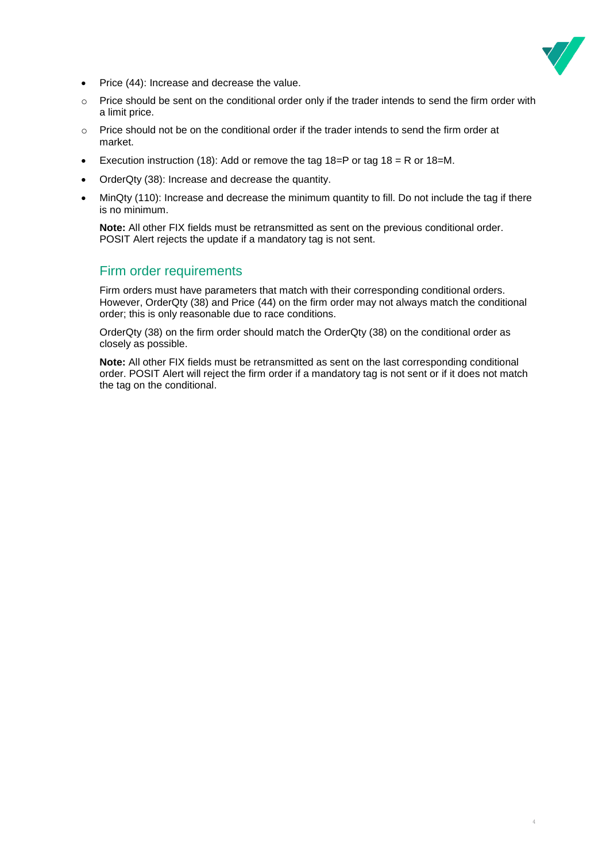

4

- Price (44): Increase and decrease the value.
- $\circ$  Price should be sent on the conditional order only if the trader intends to send the firm order with a limit price.
- $\circ$  Price should not be on the conditional order if the trader intends to send the firm order at market.
- Execution instruction (18): Add or remove the tag  $18=$ P or tag  $18 = R$  or  $18=$ M.
- OrderQty (38): Increase and decrease the quantity.
- MinQty (110): Increase and decrease the minimum quantity to fill. Do not include the tag if there is no minimum.

**Note:** All other FIX fields must be retransmitted as sent on the previous conditional order. POSIT Alert rejects the update if a mandatory tag is not sent.

### <span id="page-3-0"></span>Firm order requirements

Firm orders must have parameters that match with their corresponding conditional orders. However, OrderQty (38) and Price (44) on the firm order may not always match the conditional order; this is only reasonable due to race conditions.

OrderQty (38) on the firm order should match the OrderQty (38) on the conditional order as closely as possible.

**Note:** All other FIX fields must be retransmitted as sent on the last corresponding conditional order. POSIT Alert will reject the firm order if a mandatory tag is not sent or if it does not match the tag on the conditional.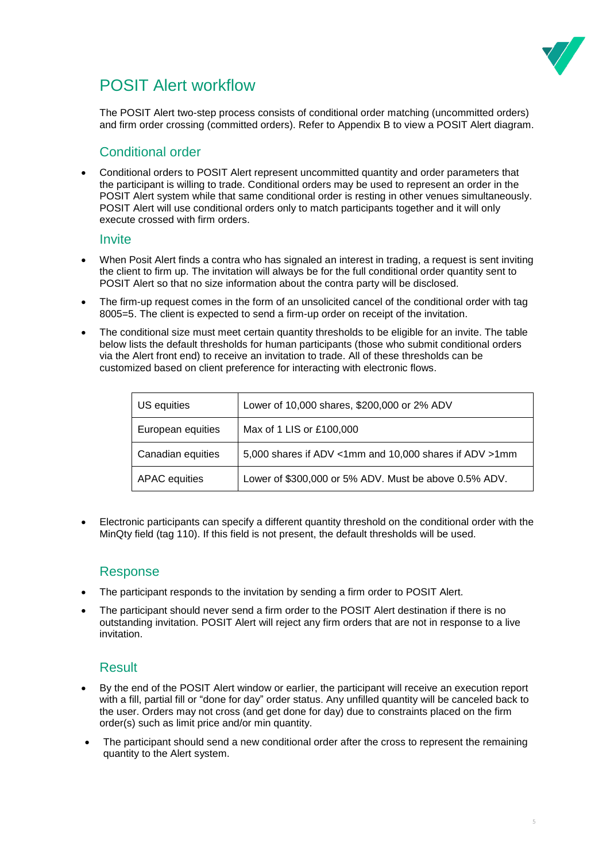

### <span id="page-4-0"></span>POSIT Alert workflow

The POSIT Alert two-step process consists of conditional order matching (uncommitted orders) and firm order crossing (committed orders). Refer to Appendix B to view a POSIT Alert diagram.

### <span id="page-4-1"></span>Conditional order

• Conditional orders to POSIT Alert represent uncommitted quantity and order parameters that the participant is willing to trade. Conditional orders may be used to represent an order in the POSIT Alert system while that same conditional order is resting in other venues simultaneously. POSIT Alert will use conditional orders only to match participants together and it will only execute crossed with firm orders.

#### <span id="page-4-2"></span>**Invite**

- When Posit Alert finds a contra who has signaled an interest in trading, a request is sent inviting the client to firm up. The invitation will always be for the full conditional order quantity sent to POSIT Alert so that no size information about the contra party will be disclosed.
- The firm-up request comes in the form of an unsolicited cancel of the conditional order with tag 8005=5. The client is expected to send a firm-up order on receipt of the invitation.
- The conditional size must meet certain quantity thresholds to be eligible for an invite. The table below lists the default thresholds for human participants (those who submit conditional orders via the Alert front end) to receive an invitation to trade. All of these thresholds can be customized based on client preference for interacting with electronic flows.

| US equities       | Lower of 10,000 shares, \$200,000 or 2% ADV            |
|-------------------|--------------------------------------------------------|
| European equities | Max of 1 LIS or £100,000                               |
| Canadian equities | 5,000 shares if ADV <1mm and 10,000 shares if ADV >1mm |
| APAC equities     | Lower of \$300,000 or 5% ADV. Must be above 0.5% ADV.  |

• Electronic participants can specify a different quantity threshold on the conditional order with the MinQty field (tag 110). If this field is not present, the default thresholds will be used.

### <span id="page-4-3"></span>Response

- The participant responds to the invitation by sending a firm order to POSIT Alert.
- The participant should never send a firm order to the POSIT Alert destination if there is no outstanding invitation. POSIT Alert will reject any firm orders that are not in response to a live invitation.

### <span id="page-4-4"></span>**Result**

- By the end of the POSIT Alert window or earlier, the participant will receive an execution report with a fill, partial fill or "done for day" order status. Any unfilled quantity will be canceled back to the user. Orders may not cross (and get done for day) due to constraints placed on the firm order(s) such as limit price and/or min quantity.
- The participant should send a new conditional order after the cross to represent the remaining quantity to the Alert system.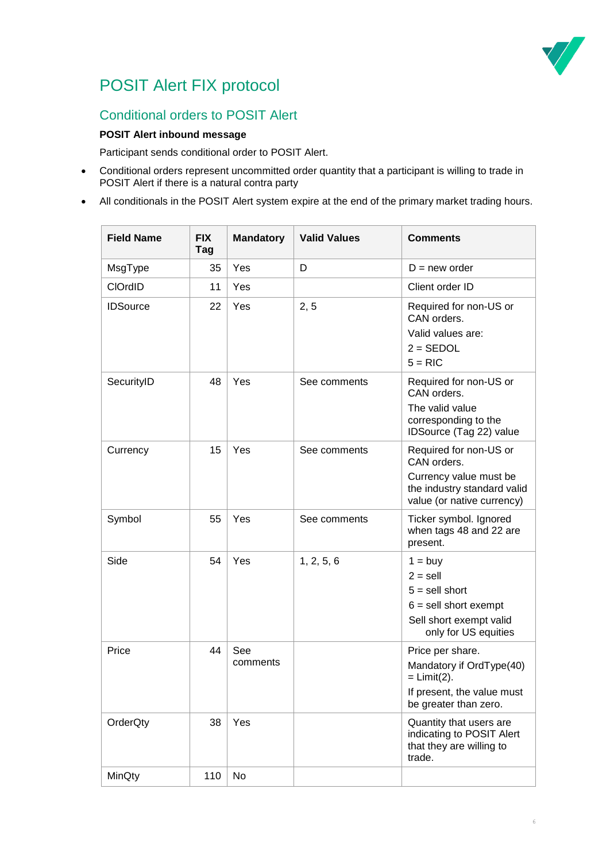

### <span id="page-5-0"></span>POSIT Alert FIX protocol

### <span id="page-5-1"></span>Conditional orders to POSIT Alert

#### **POSIT Alert inbound message**

Participant sends conditional order to POSIT Alert.

- Conditional orders represent uncommitted order quantity that a participant is willing to trade in POSIT Alert if there is a natural contra party
- All conditionals in the POSIT Alert system expire at the end of the primary market trading hours.

| <b>Field Name</b> | <b>FIX</b><br>Tag | <b>Mandatory</b> | <b>Valid Values</b> | <b>Comments</b>                                                                                                              |
|-------------------|-------------------|------------------|---------------------|------------------------------------------------------------------------------------------------------------------------------|
| MsgType           | 35                | Yes              | D                   | $D = new order$                                                                                                              |
| <b>CIOrdID</b>    | 11                | Yes              |                     | Client order ID                                                                                                              |
| <b>IDSource</b>   | 22                | Yes              | 2, 5                | Required for non-US or<br>CAN orders.<br>Valid values are:<br>$2 = SEDOL$<br>$5 = RIC$                                       |
| SecurityID        | 48                | Yes              | See comments        | Required for non-US or<br>CAN orders.<br>The valid value<br>corresponding to the<br>IDSource (Tag 22) value                  |
| Currency          | 15                | Yes              | See comments        | Required for non-US or<br>CAN orders.<br>Currency value must be<br>the industry standard valid<br>value (or native currency) |
| Symbol            | 55                | Yes              | See comments        | Ticker symbol. Ignored<br>when tags 48 and 22 are<br>present.                                                                |
| Side              | 54                | Yes              | 1, 2, 5, 6          | $1 = buy$<br>$2 =$ sell<br>$5 =$ sell short<br>$6 =$ sell short exempt<br>Sell short exempt valid<br>only for US equities    |
| Price             | 44                | See<br>comments  |                     | Price per share.<br>Mandatory if OrdType(40)<br>$=$ Limit(2).<br>If present, the value must<br>be greater than zero.         |
| OrderQty          | 38                | Yes              |                     | Quantity that users are<br>indicating to POSIT Alert<br>that they are willing to<br>trade.                                   |
| MinQty            | 110               | No               |                     |                                                                                                                              |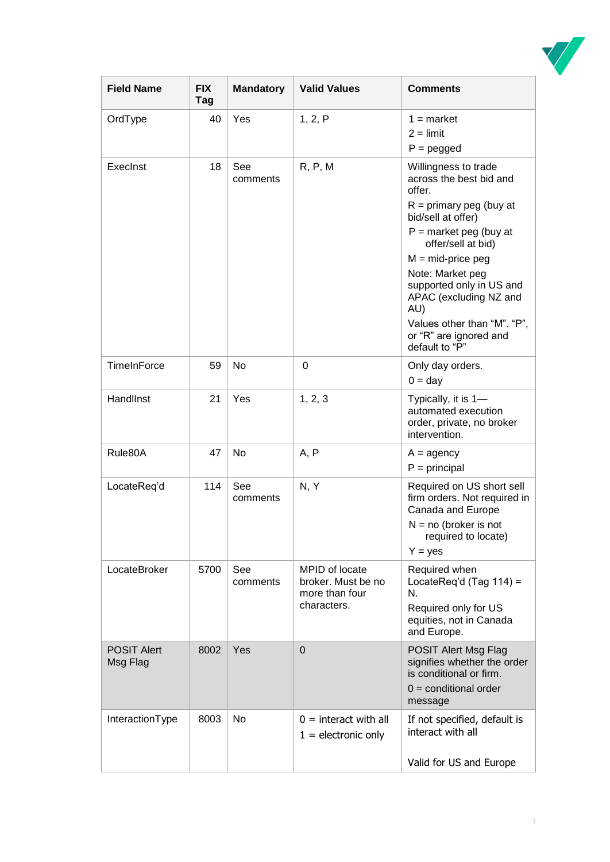

| <b>Field Name</b>              | <b>FIX</b><br>Tag | <b>Mandatory</b> | <b>Valid Values</b>                                                   | <b>Comments</b>                                                                                                                                                                                                                                                                                                                                   |
|--------------------------------|-------------------|------------------|-----------------------------------------------------------------------|---------------------------------------------------------------------------------------------------------------------------------------------------------------------------------------------------------------------------------------------------------------------------------------------------------------------------------------------------|
| OrdType                        | 40                | Yes              | 1, 2, P                                                               | $1 =$ market<br>$2 =$ limit<br>$P = pegged$                                                                                                                                                                                                                                                                                                       |
| ExecInst                       | 18                | See<br>comments  | R, P, M                                                               | Willingness to trade<br>across the best bid and<br>offer.<br>$R =$ primary peg (buy at<br>bid/sell at offer)<br>$P =$ market peg (buy at<br>offer/sell at bid)<br>$M = mid-price$ peg<br>Note: Market peg<br>supported only in US and<br>APAC (excluding NZ and<br>AU)<br>Values other than "M". "P",<br>or "R" are ignored and<br>default to "P" |
| TimeInForce                    | 59                | No               | 0                                                                     | Only day orders.<br>$0 = day$                                                                                                                                                                                                                                                                                                                     |
| HandlInst                      | 21                | Yes              | 1, 2, 3                                                               | Typically, it is 1-<br>automated execution<br>order, private, no broker<br>intervention.                                                                                                                                                                                                                                                          |
| Rule80A                        | 47                | No               | A, P                                                                  | $A =$ agency<br>$P = principal$                                                                                                                                                                                                                                                                                                                   |
| LocateReq'd                    | 114               | See<br>comments  | N, Y                                                                  | Required on US short sell<br>firm orders. Not required in<br>Canada and Europe<br>$N = no$ (broker is not<br>required to locate)<br>$Y = yes$                                                                                                                                                                                                     |
| LocateBroker                   | 5700              | See<br>comments  | MPID of locate<br>broker. Must be no<br>more than four<br>characters. | Required when<br>LocateReq'd (Tag 114) =<br>N.<br>Required only for US<br>equities, not in Canada<br>and Europe.                                                                                                                                                                                                                                  |
| <b>POSIT Alert</b><br>Msg Flag | 8002              | Yes              | $\mathbf 0$                                                           | POSIT Alert Msg Flag<br>signifies whether the order<br>is conditional or firm.<br>$0 =$ conditional order<br>message                                                                                                                                                                                                                              |
| InteractionType                | 8003              | No               | $0 =$ interact with all<br>$1 =$ electronic only                      | If not specified, default is<br>interact with all<br>Valid for US and Europe                                                                                                                                                                                                                                                                      |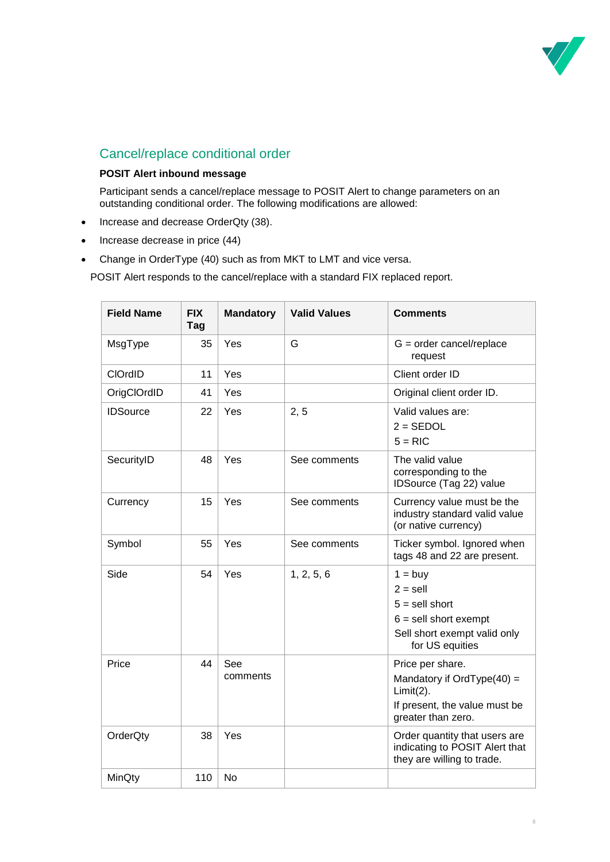

### <span id="page-7-0"></span>Cancel/replace conditional order

#### **POSIT Alert inbound message**

Participant sends a cancel/replace message to POSIT Alert to change parameters on an outstanding conditional order. The following modifications are allowed:

- Increase and decrease OrderQty (38).
- Increase decrease in price (44)
- Change in OrderType (40) such as from MKT to LMT and vice versa.

POSIT Alert responds to the cancel/replace with a standard FIX replaced report.

| <b>Field Name</b> | <b>FIX</b><br>Tag | <b>Mandatory</b> | <b>Valid Values</b> | <b>Comments</b>                                                                                                           |
|-------------------|-------------------|------------------|---------------------|---------------------------------------------------------------------------------------------------------------------------|
| MsgType           | 35                | Yes              | G                   | $G = order cancel/report$<br>request                                                                                      |
| <b>CIOrdID</b>    | 11                | Yes              |                     | Client order ID                                                                                                           |
| OrigClOrdID       | 41                | Yes              |                     | Original client order ID.                                                                                                 |
| <b>IDSource</b>   | 22                | Yes              | 2, 5                | Valid values are:<br>$2 = SEDOL$<br>$5 = RIC$                                                                             |
| SecurityID        | 48                | Yes              | See comments        | The valid value<br>corresponding to the<br>IDSource (Tag 22) value                                                        |
| Currency          | 15                | Yes              | See comments        | Currency value must be the<br>industry standard valid value<br>(or native currency)                                       |
| Symbol            | 55                | Yes              | See comments        | Ticker symbol. Ignored when<br>tags 48 and 22 are present.                                                                |
| Side              | 54                | Yes              | 1, 2, 5, 6          | $1 = buy$<br>$2 =$ sell<br>$5 =$ sell short<br>$6 =$ sell short exempt<br>Sell short exempt valid only<br>for US equities |
| Price             | 44                | See<br>comments  |                     | Price per share.<br>Mandatory if OrdType $(40)$ =<br>$Limit(2)$ .<br>If present, the value must be<br>greater than zero.  |
| OrderQty          | 38                | Yes              |                     | Order quantity that users are<br>indicating to POSIT Alert that<br>they are willing to trade.                             |
| MinQty            | 110               | <b>No</b>        |                     |                                                                                                                           |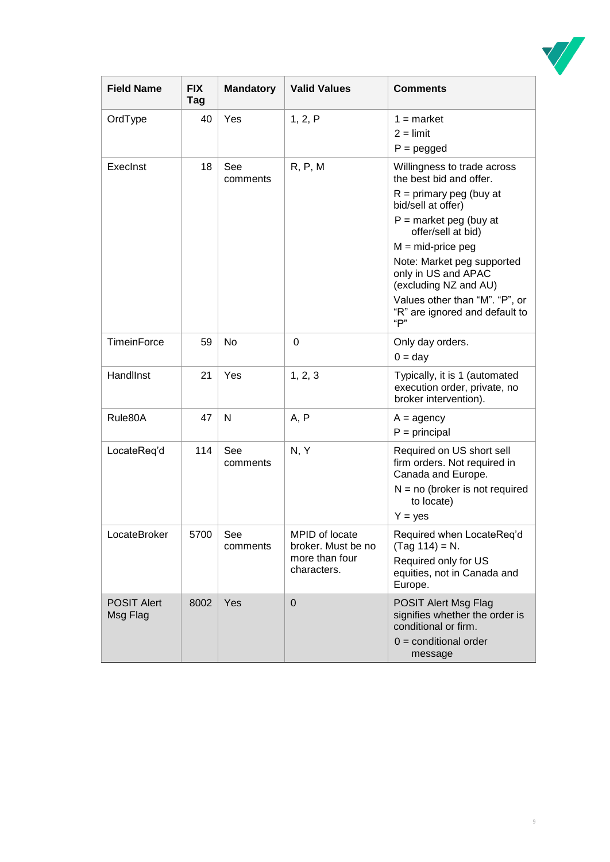

| <b>Field Name</b>              | <b>FIX</b><br>Tag | <b>Mandatory</b> | <b>Valid Values</b>                                                   | <b>Comments</b>                                                                                                                                                                                                                                                                                                                             |
|--------------------------------|-------------------|------------------|-----------------------------------------------------------------------|---------------------------------------------------------------------------------------------------------------------------------------------------------------------------------------------------------------------------------------------------------------------------------------------------------------------------------------------|
| OrdType                        | 40                | Yes              | 1, 2, P                                                               | $1 =$ market<br>$2 =$ limit<br>$P = pegged$                                                                                                                                                                                                                                                                                                 |
| ExecInst                       | 18                | See<br>comments  | R, P, M                                                               | Willingness to trade across<br>the best bid and offer.<br>$R =$ primary peg (buy at<br>bid/sell at offer)<br>$P =$ market peg (buy at<br>offer/sell at bid)<br>$M = mid-price peg$<br>Note: Market peg supported<br>only in US and APAC<br>(excluding NZ and AU)<br>Values other than "M". "P", or<br>"R" are ignored and default to<br>"P" |
| TimeinForce                    | 59                | No               | 0                                                                     | Only day orders.<br>$0 = day$                                                                                                                                                                                                                                                                                                               |
| HandlInst                      | 21                | Yes              | 1, 2, 3                                                               | Typically, it is 1 (automated<br>execution order, private, no<br>broker intervention).                                                                                                                                                                                                                                                      |
| Rule80A                        | 47                | $\mathsf{N}$     | A, P                                                                  | $A =$ agency<br>$P = principal$                                                                                                                                                                                                                                                                                                             |
| LocateReq'd                    | 114               | See<br>comments  | N, Y                                                                  | Required on US short sell<br>firm orders. Not required in<br>Canada and Europe.<br>$N = no$ (broker is not required<br>to locate)<br>$Y = yes$                                                                                                                                                                                              |
| LocateBroker                   | 5700              | See<br>comments  | MPID of locate<br>broker. Must be no<br>more than four<br>characters. | Required when LocateReq'd<br>$(Tag 114) = N.$<br>Required only for US<br>equities, not in Canada and<br>Europe.                                                                                                                                                                                                                             |
| <b>POSIT Alert</b><br>Msg Flag | 8002              | Yes              | $\mathbf 0$                                                           | POSIT Alert Msg Flag<br>signifies whether the order is<br>conditional or firm.<br>$0 =$ conditional order<br>message                                                                                                                                                                                                                        |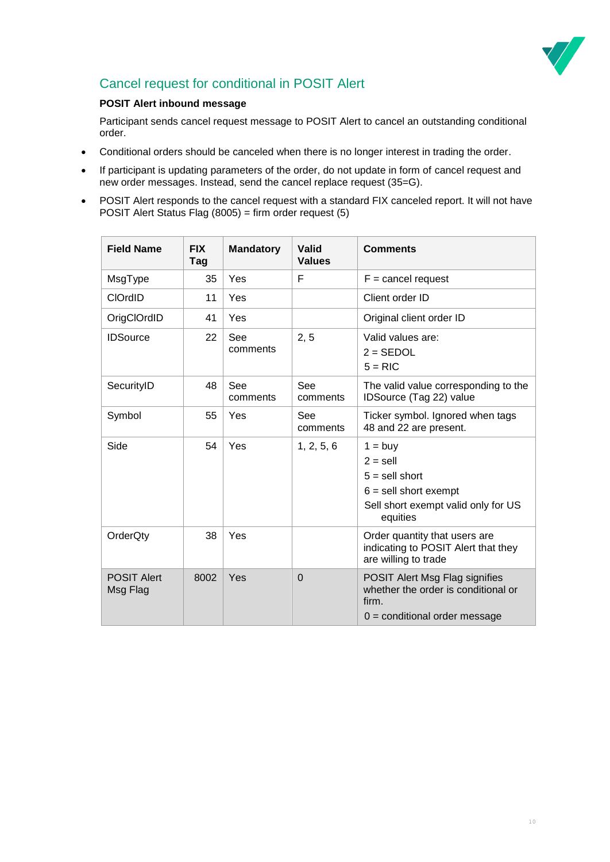

### <span id="page-9-0"></span>Cancel request for conditional in POSIT Alert

#### **POSIT Alert inbound message**

Participant sends cancel request message to POSIT Alert to cancel an outstanding conditional order.

- Conditional orders should be canceled when there is no longer interest in trading the order.
- If participant is updating parameters of the order, do not update in form of cancel request and new order messages. Instead, send the cancel replace request (35=G).
- POSIT Alert responds to the cancel request with a standard FIX canceled report. It will not have POSIT Alert Status Flag (8005) = firm order request (5)

<span id="page-9-1"></span>

| <b>Field Name</b>              | <b>FIX</b><br>Tag | <b>Mandatory</b> | <b>Valid</b><br><b>Values</b> | <b>Comments</b>                                                                                                           |
|--------------------------------|-------------------|------------------|-------------------------------|---------------------------------------------------------------------------------------------------------------------------|
| MsgType                        | 35                | Yes              | F                             | $F =$ cancel request                                                                                                      |
| <b>CIOrdID</b>                 | 11                | Yes              |                               | Client order ID                                                                                                           |
| OrigClOrdID                    | 41                | Yes              |                               | Original client order ID                                                                                                  |
| <b>IDSource</b>                | 22                | See<br>comments  | 2, 5                          | Valid values are:<br>$2 = SEDOL$<br>$5 = RIC$                                                                             |
| SecurityID                     | 48                | See<br>comments  | See<br>comments               | The valid value corresponding to the<br>IDSource (Tag 22) value                                                           |
| Symbol                         | 55                | Yes              | See<br>comments               | Ticker symbol. Ignored when tags<br>48 and 22 are present.                                                                |
| Side                           | 54                | Yes              | 1, 2, 5, 6                    | $1 = buy$<br>$2 =$ sell<br>$5 =$ sell short<br>$6 =$ sell short exempt<br>Sell short exempt valid only for US<br>equities |
| OrderQty                       | 38                | Yes              |                               | Order quantity that users are<br>indicating to POSIT Alert that they<br>are willing to trade                              |
| <b>POSIT Alert</b><br>Msg Flag | 8002              | Yes              | $\Omega$                      | POSIT Alert Msg Flag signifies<br>whether the order is conditional or<br>firm.<br>$0 =$ conditional order message         |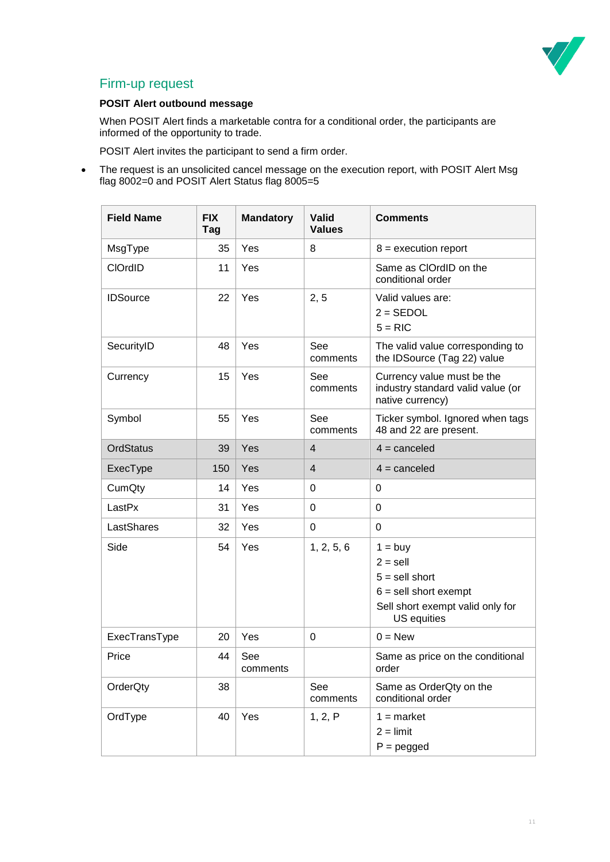

### Firm-up request

### **POSIT Alert outbound message**

When POSIT Alert finds a marketable contra for a conditional order, the participants are informed of the opportunity to trade.

POSIT Alert invites the participant to send a firm order.

• The request is an unsolicited cancel message on the execution report, with POSIT Alert Msg flag 8002=0 and POSIT Alert Status flag 8005=5

| <b>Field Name</b> | <b>FIX</b><br>Tag | <b>Mandatory</b> | <b>Valid</b><br><b>Values</b> | <b>Comments</b>                                                                                                           |
|-------------------|-------------------|------------------|-------------------------------|---------------------------------------------------------------------------------------------------------------------------|
| MsgType           | 35                | Yes              | 8                             | $8 =$ execution report                                                                                                    |
| <b>CIOrdID</b>    | 11                | Yes              |                               | Same as ClOrdID on the<br>conditional order                                                                               |
| <b>IDSource</b>   | 22                | Yes              | 2, 5                          | Valid values are:<br>$2 = SEDOL$<br>$5 = RIC$                                                                             |
| SecurityID        | 48                | Yes              | See<br>comments               | The valid value corresponding to<br>the IDSource (Tag 22) value                                                           |
| Currency          | 15                | Yes              | See<br>comments               | Currency value must be the<br>industry standard valid value (or<br>native currency)                                       |
| Symbol            | 55                | Yes              | See<br>comments               | Ticker symbol. Ignored when tags<br>48 and 22 are present.                                                                |
| <b>OrdStatus</b>  | 39                | Yes              | $\overline{4}$                | $4 =$ canceled                                                                                                            |
| ExecType          | 150               | Yes              | $\overline{4}$                | $4 =$ canceled                                                                                                            |
| CumQty            | 14                | Yes              | 0                             | 0                                                                                                                         |
| LastPx            | 31                | Yes              | $\pmb{0}$                     | $\Omega$                                                                                                                  |
| LastShares        | 32                | Yes              | 0                             | $\Omega$                                                                                                                  |
| Side              | 54                | Yes              | 1, 2, 5, 6                    | $1 = buy$<br>$2 =$ sell<br>$5 =$ sell short<br>$6 =$ sell short exempt<br>Sell short exempt valid only for<br>US equities |
| ExecTransType     | 20                | Yes              | 0                             | $0 = New$                                                                                                                 |
| Price             | 44                | See<br>comments  |                               | Same as price on the conditional<br>order                                                                                 |
| OrderQty          | 38                |                  | See<br>comments               | Same as OrderQty on the<br>conditional order                                                                              |
| OrdType           | 40                | Yes              | 1, 2, P                       | $1 =$ market<br>$2 =$ limit<br>$P = pegged$                                                                               |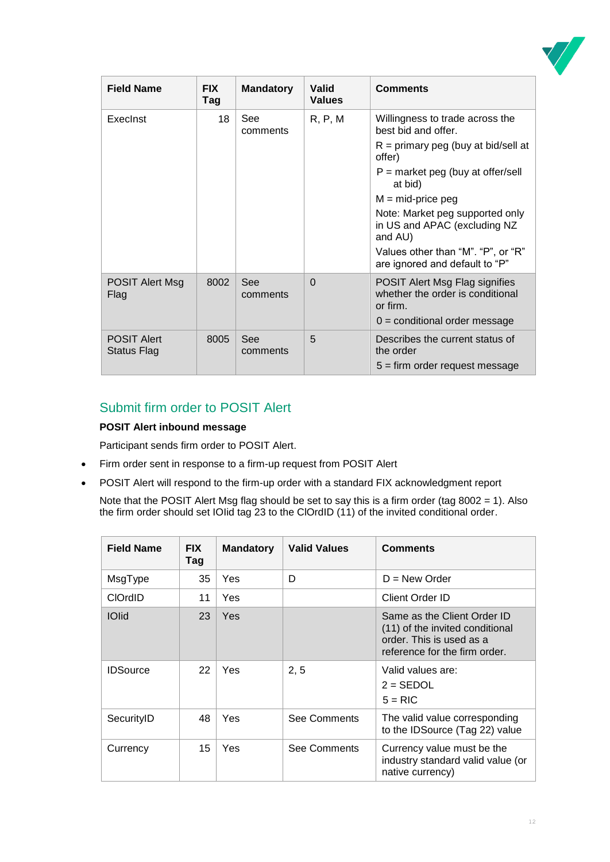

| <b>Field Name</b>                 | <b>FIX</b><br>Tag | <b>Mandatory</b> | Valid<br><b>Values</b> | <b>Comments</b>                                                                  |
|-----------------------------------|-------------------|------------------|------------------------|----------------------------------------------------------------------------------|
| Execlnst                          | 18                | See<br>comments  | R, P, M                | Willingness to trade across the<br>best bid and offer.                           |
|                                   |                   |                  |                        | $R =$ primary peg (buy at bid/sell at<br>offer)                                  |
|                                   |                   |                  |                        | $P =$ market peg (buy at offer/sell<br>at bid)                                   |
|                                   |                   |                  |                        | $M = mid-price$ peg                                                              |
|                                   |                   |                  |                        | Note: Market peg supported only<br>in US and APAC (excluding NZ<br>and AU)       |
|                                   |                   |                  |                        | Values other than "M". "P", or "R"<br>are ignored and default to "P"             |
| <b>POSIT Alert Msg</b><br>Flag    | 8002              | See<br>comments  | $\Omega$               | POSIT Alert Msg Flag signifies<br>whether the order is conditional<br>or firm.   |
|                                   |                   |                  |                        | $0 =$ conditional order message                                                  |
| <b>POSIT Alert</b><br>Status Flag | 8005              | See<br>comments  | 5                      | Describes the current status of<br>the order<br>$5 =$ firm order request message |

### <span id="page-11-0"></span>Submit firm order to POSIT Alert

### **POSIT Alert inbound message**

Participant sends firm order to POSIT Alert.

- Firm order sent in response to a firm-up request from POSIT Alert
- POSIT Alert will respond to the firm-up order with a standard FIX acknowledgment report
	- Note that the POSIT Alert Msg flag should be set to say this is a firm order (tag 8002 = 1). Also the firm order should set IOIid tag 23 to the ClOrdID (11) of the invited conditional order.

| <b>Field Name</b> | <b>FIX</b><br>Tag | <b>Mandatory</b> | <b>Valid Values</b> | <b>Comments</b>                                                                                                             |
|-------------------|-------------------|------------------|---------------------|-----------------------------------------------------------------------------------------------------------------------------|
| MsgType           | 35                | Yes              | D                   | $D = New Order$                                                                                                             |
| <b>CIOrdID</b>    | 11                | <b>Yes</b>       |                     | Client Order ID                                                                                                             |
| <b>IOlid</b>      | 23                | Yes              |                     | Same as the Client Order ID<br>(11) of the invited conditional<br>order. This is used as a<br>reference for the firm order. |
| <b>IDSource</b>   | 22                | <b>Yes</b>       | 2, 5                | Valid values are:<br>$2 = SEDOL$<br>$5 = RIC$                                                                               |
| SecurityID        | 48                | <b>Yes</b>       | See Comments        | The valid value corresponding<br>to the IDSource (Tag 22) value                                                             |
| Currency          | 15                | Yes              | See Comments        | Currency value must be the<br>industry standard valid value (or<br>native currency)                                         |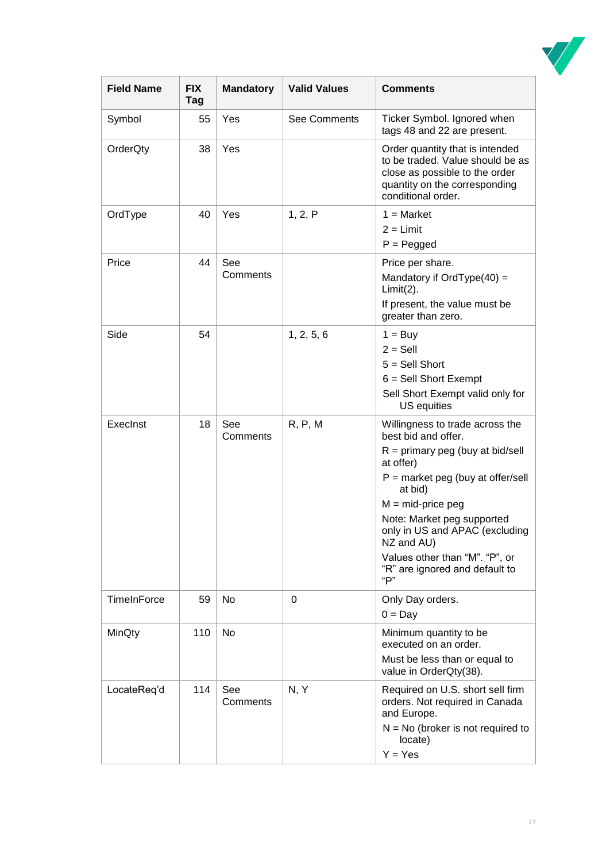

| <b>Field Name</b>  | <b>FIX</b><br>Tag | <b>Mandatory</b> | <b>Valid Values</b> | <b>Comments</b>                                                                                                                                                                                                                                                                                                                             |
|--------------------|-------------------|------------------|---------------------|---------------------------------------------------------------------------------------------------------------------------------------------------------------------------------------------------------------------------------------------------------------------------------------------------------------------------------------------|
| Symbol             | 55                | Yes              | <b>See Comments</b> | Ticker Symbol. Ignored when<br>tags 48 and 22 are present.                                                                                                                                                                                                                                                                                  |
| OrderQty           | 38                | Yes              |                     | Order quantity that is intended<br>to be traded. Value should be as<br>close as possible to the order<br>quantity on the corresponding<br>conditional order.                                                                                                                                                                                |
| OrdType            | 40                | Yes              | 1, 2, P             | $1 = Market$<br>$2 = Limit$<br>$P = P$ egged                                                                                                                                                                                                                                                                                                |
| Price              | 44                | See<br>Comments  |                     | Price per share.<br>Mandatory if OrdType $(40)$ =<br>$Limit(2)$ .<br>If present, the value must be<br>greater than zero.                                                                                                                                                                                                                    |
| Side               | 54                |                  | 1, 2, 5, 6          | $1 = \text{Buy}$<br>$2 =$ Sell<br>$5 =$ Sell Short<br>$6 =$ Sell Short Exempt<br>Sell Short Exempt valid only for<br>US equities                                                                                                                                                                                                            |
| ExecInst           | 18                | See<br>Comments  | R, P, M             | Willingness to trade across the<br>best bid and offer.<br>$R =$ primary peg (buy at bid/sell<br>at offer)<br>$P =$ market peg (buy at offer/sell<br>at bid)<br>$M = mid-price$ peg<br>Note: Market peg supported<br>only in US and APAC (excluding<br>NZ and AU)<br>Values other than "M". "P", or<br>"R" are ignored and default to<br>"P" |
| <b>TimeInForce</b> | 59                | No               | 0                   | Only Day orders.<br>$0 = Day$                                                                                                                                                                                                                                                                                                               |
| MinQty             | 110               | No               |                     | Minimum quantity to be<br>executed on an order.<br>Must be less than or equal to<br>value in OrderQty(38).                                                                                                                                                                                                                                  |
| LocateReq'd        | 114               | See<br>Comments  | N, Y                | Required on U.S. short sell firm<br>orders. Not required in Canada<br>and Europe.<br>$N = No$ (broker is not required to<br>locate)<br>$Y = Yes$                                                                                                                                                                                            |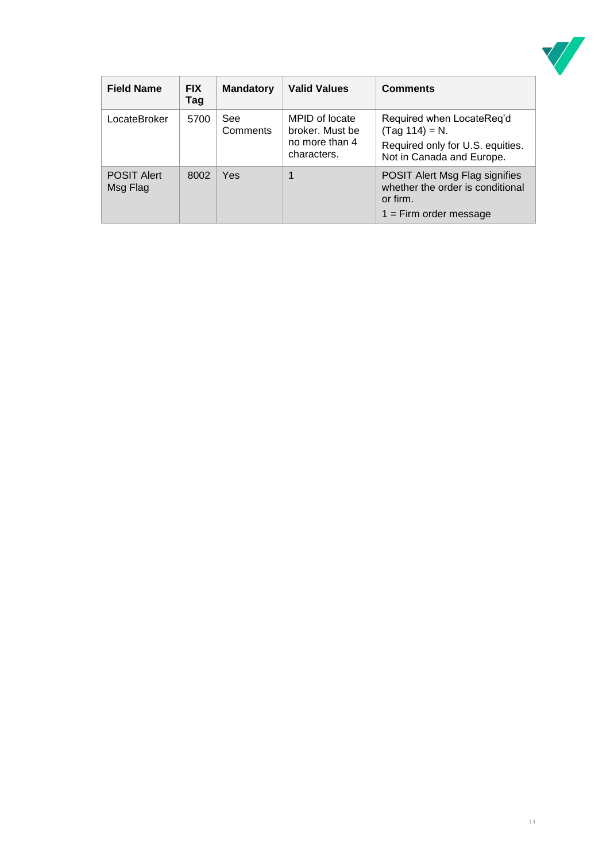

| <b>Field Name</b>              | <b>FIX</b><br>Tag | <b>Mandatory</b> | <b>Valid Values</b>                                                | <b>Comments</b>                                                                                                |
|--------------------------------|-------------------|------------------|--------------------------------------------------------------------|----------------------------------------------------------------------------------------------------------------|
| LocateBroker                   | 5700              | See<br>Comments  | MPID of locate<br>broker. Must be<br>no more than 4<br>characters. | Required when LocateReq'd<br>$(Tag 114) = N.$<br>Required only for U.S. equities.<br>Not in Canada and Europe. |
| <b>POSIT Alert</b><br>Msg Flag | 8002              | Yes              |                                                                    | POSIT Alert Msg Flag signifies<br>whether the order is conditional<br>or firm.<br>$1 =$ Firm order message     |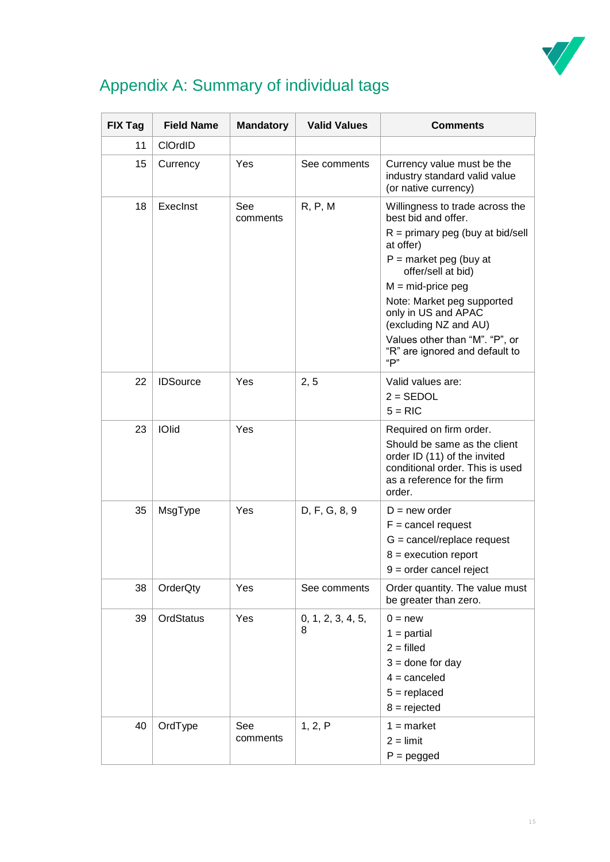

## <span id="page-14-0"></span>Appendix A: Summary of individual tags

| <b>FIX Tag</b> | <b>Field Name</b> | <b>Mandatory</b> | <b>Valid Values</b>    | <b>Comments</b>                                                                                                                                                                                                                                                                                                                             |
|----------------|-------------------|------------------|------------------------|---------------------------------------------------------------------------------------------------------------------------------------------------------------------------------------------------------------------------------------------------------------------------------------------------------------------------------------------|
| 11             | <b>CIOrdID</b>    |                  |                        |                                                                                                                                                                                                                                                                                                                                             |
| 15             | Currency          | Yes              | See comments           | Currency value must be the<br>industry standard valid value<br>(or native currency)                                                                                                                                                                                                                                                         |
| 18             | Execlnst          | See<br>comments  | R, P, M                | Willingness to trade across the<br>best bid and offer.<br>$R =$ primary peg (buy at bid/sell<br>at offer)<br>$P =$ market peg (buy at<br>offer/sell at bid)<br>$M = mid-price$ peg<br>Note: Market peg supported<br>only in US and APAC<br>(excluding NZ and AU)<br>Values other than "M". "P", or<br>"R" are ignored and default to<br>"P" |
| 22             | <b>IDSource</b>   | Yes              | 2, 5                   | Valid values are:<br>$2 = SEDOL$<br>$5 = RIC$                                                                                                                                                                                                                                                                                               |
| 23             | <b>IOlid</b>      | Yes              |                        | Required on firm order.<br>Should be same as the client<br>order ID (11) of the invited<br>conditional order. This is used<br>as a reference for the firm<br>order.                                                                                                                                                                         |
| 35             | MsgType           | Yes              | D, F, G, 8, 9          | $D = new order$<br>$F =$ cancel request<br>$G = \text{cancel/replace request}$<br>$8 =$ execution report<br>$9 =$ order cancel reject                                                                                                                                                                                                       |
| 38             | OrderQty          | Yes              | See comments           | Order quantity. The value must<br>be greater than zero.                                                                                                                                                                                                                                                                                     |
| 39             | OrdStatus         | Yes              | 0, 1, 2, 3, 4, 5,<br>8 | $0 = new$<br>$1 =$ partial<br>$2 = \text{filled}$<br>$3 =$ done for day<br>$4 =$ canceled<br>$5 =$ replaced<br>$8 =$ rejected                                                                                                                                                                                                               |
| 40             | OrdType           | See<br>comments  | 1, 2, P                | $1 =$ market<br>$2 =$ limit<br>$P = pegged$                                                                                                                                                                                                                                                                                                 |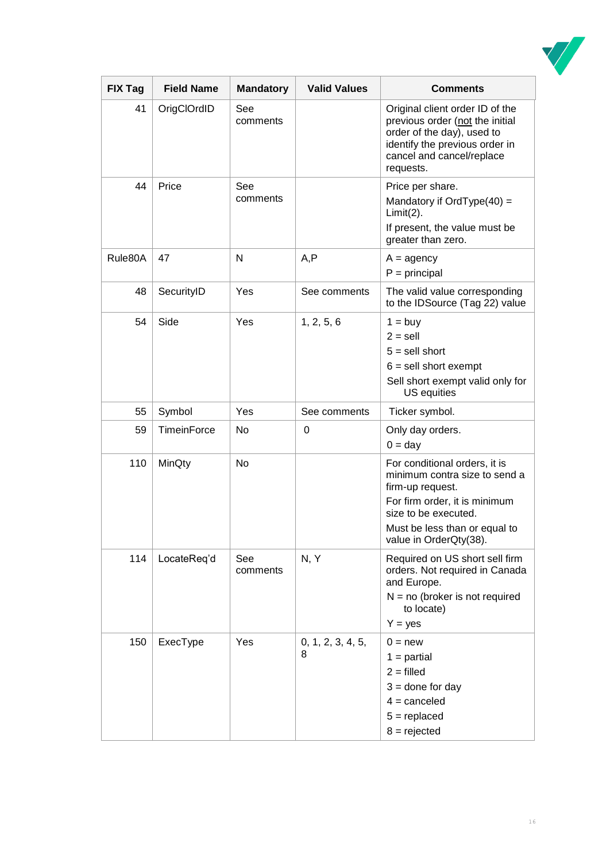

| <b>FIX Tag</b> | <b>Field Name</b>  | <b>Mandatory</b> | <b>Valid Values</b>    | <b>Comments</b>                                                                                                                                                                                        |
|----------------|--------------------|------------------|------------------------|--------------------------------------------------------------------------------------------------------------------------------------------------------------------------------------------------------|
| 41             | OrigClOrdID        | See<br>comments  |                        | Original client order ID of the<br>previous order (not the initial<br>order of the day), used to<br>identify the previous order in<br>cancel and cancel/replace<br>requests.                           |
| 44             | Price              | See<br>comments  |                        | Price per share.<br>Mandatory if OrdType $(40)$ =<br>$Limit(2)$ .<br>If present, the value must be<br>greater than zero.                                                                               |
| Rule80A        | 47                 | N                | A, P                   | $A = agency$<br>$P = principal$                                                                                                                                                                        |
| 48             | SecurityID         | Yes              | See comments           | The valid value corresponding<br>to the IDSource (Tag 22) value                                                                                                                                        |
| 54             | Side               | Yes              | 1, 2, 5, 6             | $1 = buy$<br>$2 =$ sell<br>$5 =$ sell short<br>$6 =$ sell short exempt<br>Sell short exempt valid only for<br>US equities                                                                              |
| 55             | Symbol             | Yes              | See comments           | Ticker symbol.                                                                                                                                                                                         |
| 59             | <b>TimeinForce</b> | No               | 0                      | Only day orders.<br>$0 = day$                                                                                                                                                                          |
| 110            | MinQty             | <b>No</b>        |                        | For conditional orders, it is<br>minimum contra size to send a<br>firm-up request.<br>For firm order, it is minimum<br>size to be executed.<br>Must be less than or equal to<br>value in OrderQty(38). |
| 114            | LocateReq'd        | See<br>comments  | N, Y                   | Required on US short sell firm<br>orders. Not required in Canada<br>and Europe.<br>$N = no$ (broker is not required<br>to locate)<br>$Y = yes$                                                         |
| 150            | ExecType           | Yes              | 0, 1, 2, 3, 4, 5,<br>8 | $0 = new$<br>$1 =$ partial<br>$2 = \text{filled}$<br>$3 =$ done for day<br>$4 =$ canceled<br>$5 =$ replaced<br>$8 =$ rejected                                                                          |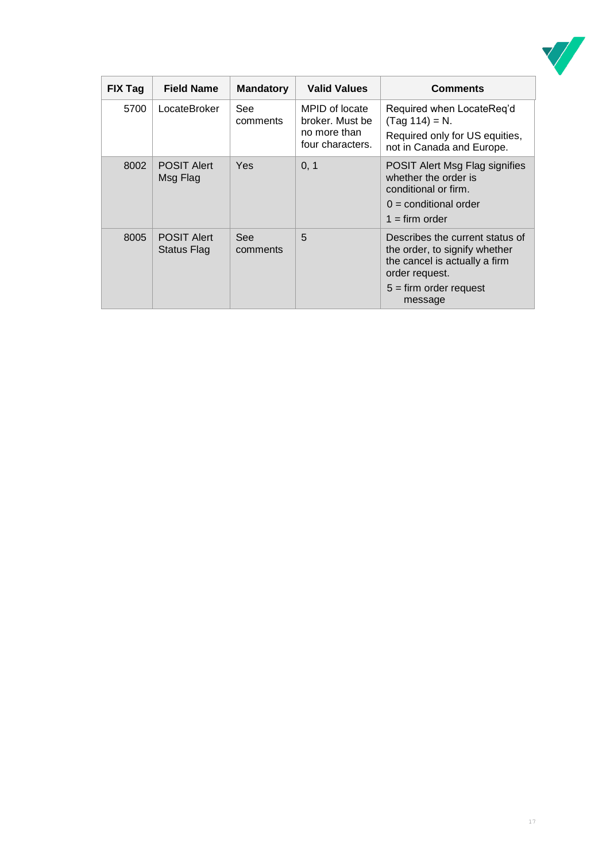

| <b>FIX Tag</b> | <b>Field Name</b>                 | <b>Mandatory</b> | <b>Valid Values</b>                                                   | <b>Comments</b>                                                                                                                                            |
|----------------|-----------------------------------|------------------|-----------------------------------------------------------------------|------------------------------------------------------------------------------------------------------------------------------------------------------------|
| 5700           | LocateBroker                      | See<br>comments  | MPID of locate<br>broker. Must be<br>no more than<br>four characters. | Required when LocateReq'd<br>$(Tag 114) = N.$<br>Required only for US equities,<br>not in Canada and Europe.                                               |
| 8002           | <b>POSIT Alert</b><br>Msg Flag    | Yes              | 0, 1                                                                  | POSIT Alert Msg Flag signifies<br>whether the order is<br>conditional or firm.<br>$0 =$ conditional order<br>$1 = firm order$                              |
| 8005           | <b>POSIT Alert</b><br>Status Flag | See<br>comments  | 5                                                                     | Describes the current status of<br>the order, to signify whether<br>the cancel is actually a firm<br>order request.<br>$5 =$ firm order request<br>message |